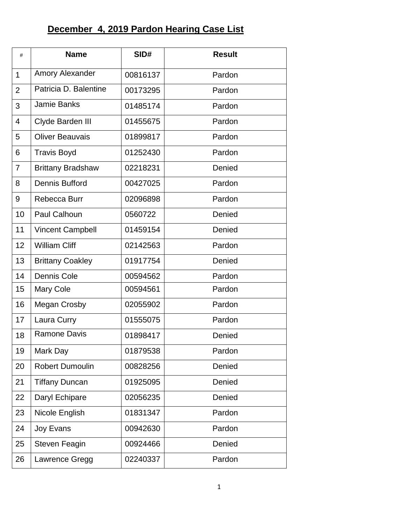## **December 4, 2019 Pardon Hearing Case List**

| #              | <b>Name</b>              | SID#     | <b>Result</b> |
|----------------|--------------------------|----------|---------------|
| $\mathbf{1}$   | Amory Alexander          | 00816137 | Pardon        |
| $\overline{2}$ | Patricia D. Balentine    | 00173295 | Pardon        |
| 3              | Jamie Banks              | 01485174 | Pardon        |
| $\overline{4}$ | Clyde Barden III         | 01455675 | Pardon        |
| 5              | <b>Oliver Beauvais</b>   | 01899817 | Pardon        |
| 6              | <b>Travis Boyd</b>       | 01252430 | Pardon        |
| $\overline{7}$ | <b>Brittany Bradshaw</b> | 02218231 | Denied        |
| 8              | <b>Dennis Bufford</b>    | 00427025 | Pardon        |
| 9              | Rebecca Burr             | 02096898 | Pardon        |
| 10             | <b>Paul Calhoun</b>      | 0560722  | Denied        |
| 11             | <b>Vincent Campbell</b>  | 01459154 | Denied        |
| 12             | <b>William Cliff</b>     | 02142563 | Pardon        |
| 13             | <b>Brittany Coakley</b>  | 01917754 | Denied        |
| 14             | Dennis Cole              | 00594562 | Pardon        |
| 15             | <b>Mary Cole</b>         | 00594561 | Pardon        |
| 16             | <b>Megan Crosby</b>      | 02055902 | Pardon        |
| 17             | Laura Curry              | 01555075 | Pardon        |
| 18             | <b>Ramone Davis</b>      | 01898417 | Denied        |
| 19             | Mark Day                 | 01879538 | Pardon        |
| 20             | <b>Robert Dumoulin</b>   | 00828256 | Denied        |
| 21             | <b>Tiffany Duncan</b>    | 01925095 | Denied        |
| 22             | Daryl Echipare           | 02056235 | Denied        |
| 23             | Nicole English           | 01831347 | Pardon        |
| 24             | Joy Evans                | 00942630 | Pardon        |
| 25             | <b>Steven Feagin</b>     | 00924466 | Denied        |
| 26             | Lawrence Gregg           | 02240337 | Pardon        |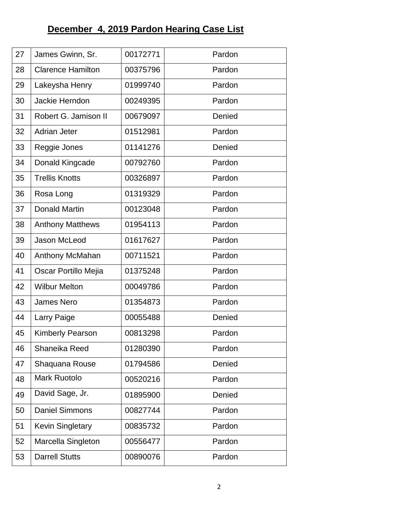## **December 4, 2019 Pardon Hearing Case List**

| 27 | James Gwinn, Sr.         | 00172771 | Pardon |
|----|--------------------------|----------|--------|
| 28 | <b>Clarence Hamilton</b> | 00375796 | Pardon |
| 29 | Lakeysha Henry           | 01999740 | Pardon |
| 30 | Jackie Herndon           | 00249395 | Pardon |
| 31 | Robert G. Jamison II     | 00679097 | Denied |
| 32 | <b>Adrian Jeter</b>      | 01512981 | Pardon |
| 33 | Reggie Jones             | 01141276 | Denied |
| 34 | Donald Kingcade          | 00792760 | Pardon |
| 35 | <b>Trellis Knotts</b>    | 00326897 | Pardon |
| 36 | Rosa Long                | 01319329 | Pardon |
| 37 | <b>Donald Martin</b>     | 00123048 | Pardon |
| 38 | <b>Anthony Matthews</b>  | 01954113 | Pardon |
| 39 | Jason McLeod             | 01617627 | Pardon |
| 40 | Anthony McMahan          | 00711521 | Pardon |
| 41 | Oscar Portillo Mejia     | 01375248 | Pardon |
| 42 | <b>Wilbur Melton</b>     | 00049786 | Pardon |
| 43 | <b>James Nero</b>        | 01354873 | Pardon |
| 44 | Larry Paige              | 00055488 | Denied |
| 45 | <b>Kimberly Pearson</b>  | 00813298 | Pardon |
| 46 | Shaneika Reed            | 01280390 | Pardon |
| 47 | Shaquana Rouse           | 01794586 | Denied |
| 48 | <b>Mark Ruotolo</b>      | 00520216 | Pardon |
| 49 | David Sage, Jr.          | 01895900 | Denied |
| 50 | <b>Daniel Simmons</b>    | 00827744 | Pardon |
| 51 | Kevin Singletary         | 00835732 | Pardon |
| 52 | Marcella Singleton       | 00556477 | Pardon |
| 53 | <b>Darrell Stutts</b>    | 00890076 | Pardon |
|    |                          |          |        |